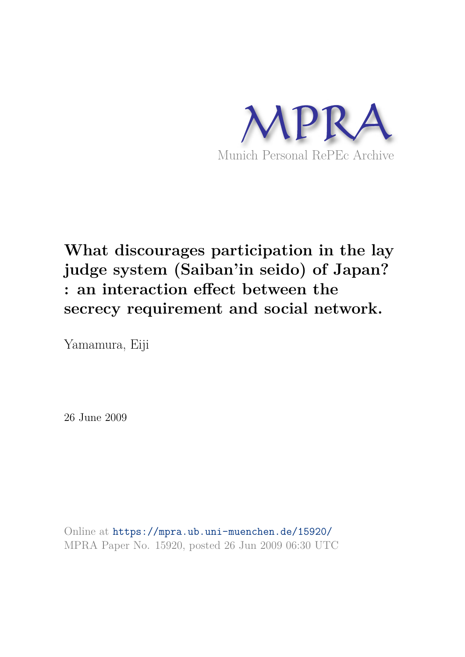

# **What discourages participation in the lay judge system (Saiban'in seido) of Japan? : an interaction effect between the secrecy requirement and social network.**

Yamamura, Eiji

26 June 2009

Online at https://mpra.ub.uni-muenchen.de/15920/ MPRA Paper No. 15920, posted 26 Jun 2009 06:30 UTC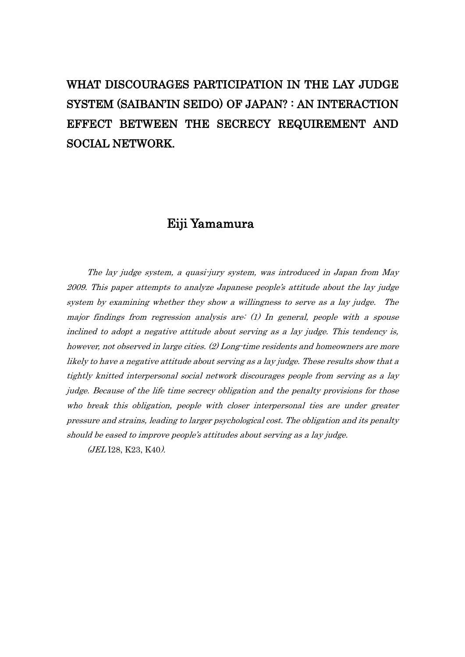# WHAT DISCOURAGES PARTICIPATION IN THE LAY JUDGE SYSTEM (SAIBAN"IN SEIDO) OF JAPAN? : AN INTERACTION EFFECT BETWEEN THE SECRECY REQUIREMENT AND SOCIAL NETWORK.

# Eiji Yamamura

The lay judge system, a quasi-jury system, was introduced in Japan from May 2009. This paper attempts to analyze Japanese people"s attitude about the lay judge system by examining whether they show a willingness to serve as a lay judge. The major findings from regression analysis are: (1) In general, people with a spouse inclined to adopt a negative attitude about serving as a lay judge. This tendency is, however, not observed in large cities. (2) Long-time residents and homeowners are more likely to have a negative attitude about serving as a lay judge. These results show that a tightly knitted interpersonal social network discourages people from serving as a lay judge. Because of the life time secrecy obligation and the penalty provisions for those who break this obligation, people with closer interpersonal ties are under greater pressure and strains, leading to larger psychological cost. The obligation and its penalty should be eased to improve people's attitudes about serving as a lay judge.

(JEL I28, K23, K40).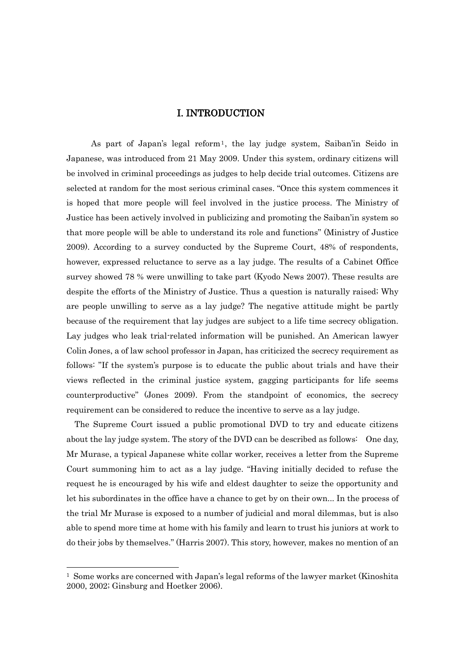## I. INTRODUCTION

As part of Japan's legal reform<sup>1</sup>, the lay judge system, Saiban'in Seido in Japanese, was introduced from 21 May 2009. Under this system, ordinary citizens will be involved in criminal proceedings as judges to help decide trial outcomes. Citizens are selected at random for the most serious criminal cases. "Once this system commences it is hoped that more people will feel involved in the justice process. The Ministry of Justice has been actively involved in publicizing and promoting the Saiban"in system so that more people will be able to understand its role and functions" (Ministry of Justice 2009). According to a survey conducted by the Supreme Court, 48% of respondents, however, expressed reluctance to serve as a lay judge. The results of a Cabinet Office survey showed 78 % were unwilling to take part (Kyodo News 2007). These results are despite the efforts of the Ministry of Justice. Thus a question is naturally raised; Why are people unwilling to serve as a lay judge? The negative attitude might be partly because of the requirement that lay judges are subject to a life time secrecy obligation. Lay judges who leak trial-related information will be punished. An American lawyer Colin Jones, a of law school professor in Japan, has criticized the secrecy requirement as follows: "If the system's purpose is to educate the public about trials and have their views reflected in the criminal justice system, gagging participants for life seems counterproductive" (Jones 2009). From the standpoint of economics, the secrecy requirement can be considered to reduce the incentive to serve as a lay judge.

 The Supreme Court issued a public promotional DVD to try and educate citizens about the lay judge system. The story of the DVD can be described as follows: One day, Mr Murase, a typical Japanese white collar worker, receives a letter from the Supreme Court summoning him to act as a lay judge. "Having initially decided to refuse the request he is encouraged by his wife and eldest daughter to seize the opportunity and let his subordinates in the office have a chance to get by on their own... In the process of the trial Mr Murase is exposed to a number of judicial and moral dilemmas, but is also able to spend more time at home with his family and learn to trust his juniors at work to do their jobs by themselves." (Harris 2007). This story, however, makes no mention of an

 $1$  Some works are concerned with Japan's legal reforms of the lawyer market (Kinoshita 2000, 2002; Ginsburg and Hoetker 2006).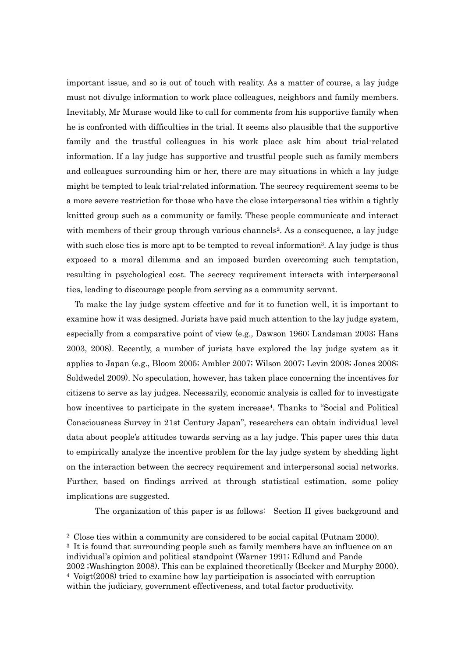important issue, and so is out of touch with reality. As a matter of course, a lay judge must not divulge information to work place colleagues, neighbors and family members. Inevitably, Mr Murase would like to call for comments from his supportive family when he is confronted with difficulties in the trial. It seems also plausible that the supportive family and the trustful colleagues in his work place ask him about trial-related information. If a lay judge has supportive and trustful people such as family members and colleagues surrounding him or her, there are may situations in which a lay judge might be tempted to leak trial-related information. The secrecy requirement seems to be a more severe restriction for those who have the close interpersonal ties within a tightly knitted group such as a community or family. These people communicate and interact with members of their group through various channels<sup>2</sup>. As a consequence, a lay judge with such close ties is more apt to be tempted to reveal information<sup>3</sup>. A lay judge is thus exposed to a moral dilemma and an imposed burden overcoming such temptation, resulting in psychological cost. The secrecy requirement interacts with interpersonal ties, leading to discourage people from serving as a community servant.

To make the lay judge system effective and for it to function well, it is important to examine how it was designed. Jurists have paid much attention to the lay judge system, especially from a comparative point of view (e.g., Dawson 1960; Landsman 2003; Hans 2003, 2008). Recently, a number of jurists have explored the lay judge system as it applies to Japan (e.g., Bloom 2005; Ambler 2007; Wilson 2007; Levin 2008; Jones 2008; Soldwedel 2009). No speculation, however, has taken place concerning the incentives for citizens to serve as lay judges. Necessarily, economic analysis is called for to investigate how incentives to participate in the system increase4. Thanks to "Social and Political Consciousness Survey in 21st Century Japan", researchers can obtain individual level data about people"s attitudes towards serving as a lay judge. This paper uses this data to empirically analyze the incentive problem for the lay judge system by shedding light on the interaction between the secrecy requirement and interpersonal social networks. Further, based on findings arrived at through statistical estimation, some policy implications are suggested.

The organization of this paper is as follows: Section II gives background and

<sup>2</sup> Close ties within a community are considered to be social capital (Putnam 2000).

<sup>3</sup> It is found that surrounding people such as family members have an influence on an individual"s opinion and political standpoint (Warner 1991; Edlund and Pande 2002 ;Washington 2008). This can be explained theoretically (Becker and Murphy 2000).

<sup>4</sup> Voigt(2008) tried to examine how lay participation is associated with corruption within the judiciary, government effectiveness, and total factor productivity.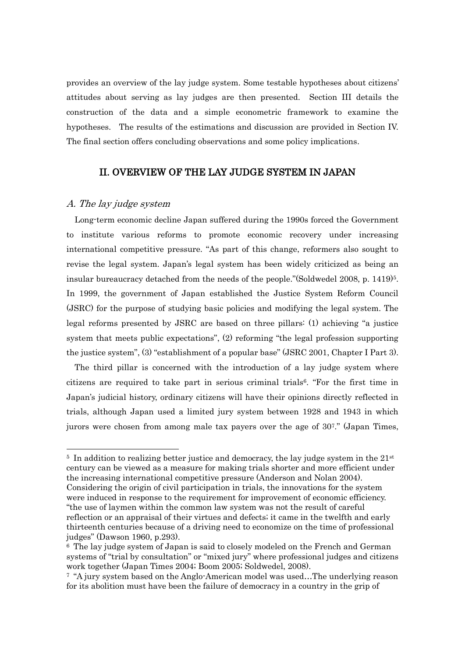provides an overview of the lay judge system. Some testable hypotheses about citizens" attitudes about serving as lay judges are then presented. Section III details the construction of the data and a simple econometric framework to examine the hypotheses. The results of the estimations and discussion are provided in Section IV. The final section offers concluding observations and some policy implications.

### II. OVERVIEW OF THE LAY JUDGE SYSTEM IN JAPAN

#### A. The lay judge system

-

 Long-term economic decline Japan suffered during the 1990s forced the Government to institute various reforms to promote economic recovery under increasing international competitive pressure. "As part of this change, reformers also sought to revise the legal system. Japan"s legal system has been widely criticized as being an insular bureaucracy detached from the needs of the people."(Soldwedel 2008, p. 1419)<sup>5</sup>. In 1999, the government of Japan established the Justice System Reform Council (JSRC) for the purpose of studying basic policies and modifying the legal system. The legal reforms presented by JSRC are based on three pillars: (1) achieving "a justice system that meets public expectations", (2) reforming "the legal profession supporting the justice system", (3) "establishment of a popular base" (JSRC 2001, Chapter I Part 3).

 The third pillar is concerned with the introduction of a lay judge system where citizens are required to take part in serious criminal trials6. "For the first time in Japan"s judicial history, ordinary citizens will have their opinions directly reflected in trials, although Japan used a limited jury system between 1928 and 1943 in which jurors were chosen from among male tax payers over the age of 307." (Japan Times,

<sup>&</sup>lt;sup>5</sup> In addition to realizing better justice and democracy, the lay judge system in the 21<sup>st</sup> century can be viewed as a measure for making trials shorter and more efficient under the increasing international competitive pressure (Anderson and Nolan 2004). Considering the origin of civil participation in trials, the innovations for the system were induced in response to the requirement for improvement of economic efficiency.

<sup>&</sup>quot;the use of laymen within the common law system was not the result of careful reflection or an appraisal of their virtues and defects; it came in the twelfth and early thirteenth centuries because of a driving need to economize on the time of professional judges" (Dawson 1960, p.293).

<sup>6</sup> The lay judge system of Japan is said to closely modeled on the French and German systems of "trial by consultation" or "mixed jury" where professional judges and citizens work together (Japan Times 2004; Boom 2005; Soldwedel, 2008).

<sup>7</sup> "A jury system based on the Anglo-American model was used…The underlying reason for its abolition must have been the failure of democracy in a country in the grip of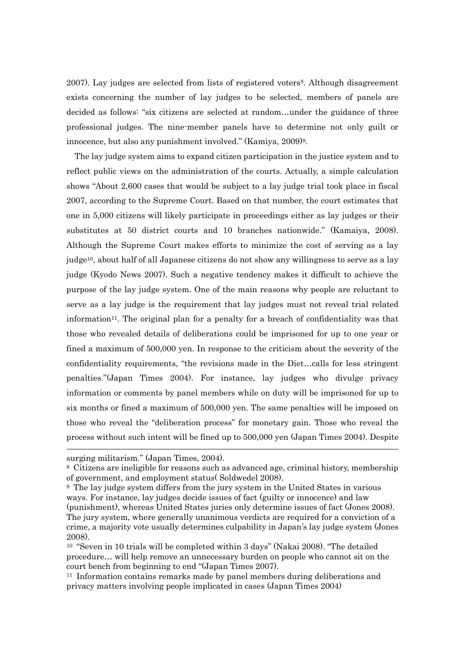2007). Lay judges are selected from lists of registered voters8. Although disagreement exists concerning the number of lay judges to be selected, members of panels are decided as follows: "six citizens are selected at random…under the guidance of three professional judges. The nine-member panels have to determine not only guilt or innocence, but also any punishment involved." (Kamiya, 2009)9.

The lay judge system aims to expand citizen participation in the justice system and to reflect public views on the administration of the courts. Actually, a simple calculation shows "About 2,600 cases that would be subject to a lay judge trial took place in fiscal 2007, according to the Supreme Court. Based on that number, the court estimates that one in 5,000 citizens will likely participate in proceedings either as lay judges or their substitutes at 50 district courts and 10 branches nationwide." (Kamaiya, 2008). Although the Supreme Court makes efforts to minimize the cost of serving as a lay judge10, about half of all Japanese citizens do not show any willingness to serve as a lay judge (Kyodo News 2007). Such a negative tendency makes it difficult to achieve the purpose of the lay judge system. One of the main reasons why people are reluctant to serve as a lay judge is the requirement that lay judges must not reveal trial related information11. The original plan for a penalty for a breach of confidentiality was that those who revealed details of deliberations could be imprisoned for up to one year or fined a maximum of 500,000 yen. In response to the criticism about the severity of the confidentiality requirements, "the revisions made in the Diet…calls for less stringent penalties."(Japan Times 2004). For instance, lay judges who divulge privacy information or comments by panel members while on duty will be imprisoned for up to six months or fined a maximum of 500,000 yen. The same penalties will be imposed on those who reveal the "deliberation process" for monetary gain. Those who reveal the process without such intent will be fined up to 500,000 yen (Japan Times 2004). Despite

-

surging militarism." (Japan Times, 2004).

<sup>8</sup> Citizens are ineligible for reasons such as advanced age, criminal history, membership of government, and employment status( Soldwedel 2008).

<sup>9</sup> The lay judge system differs from the jury system in the United States in various ways. For instance, lay judges decide issues of fact (guilty or innocence) and law (punishment), whereas United States juries only determine issues of fact (Jones 2008). The jury system, where generally unanimous verdicts are required for a conviction of a crime, a majority vote usually determines culpability in Japan"s lay judge system (Jones 2008).

<sup>10</sup> "Seven in 10 trials will be completed within 3 days" (Nakai 2008). "The detailed procedure… will help remove an unnecessary burden on people who cannot sit on the court bench from beginning to end "(Japan Times 2007).

<sup>11</sup> Information contains remarks made by panel members during deliberations and privacy matters involving people implicated in cases (Japan Times 2004)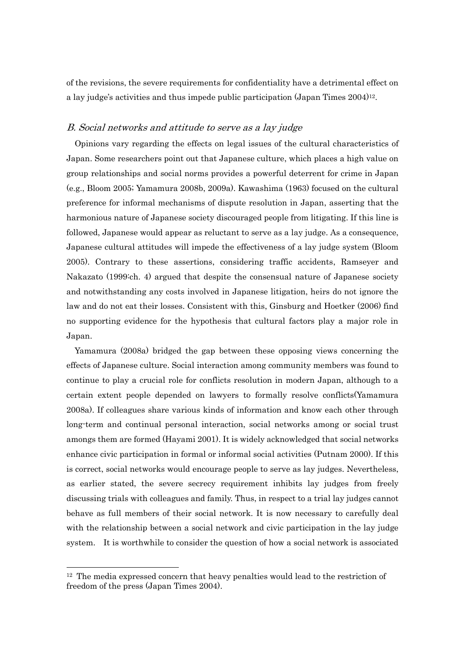of the revisions, the severe requirements for confidentiality have a detrimental effect on a lay judge's activities and thus impede public participation (Japan Times 2004)<sup>12</sup>.

#### B. Social networks and attitude to serve as a lay judge

 Opinions vary regarding the effects on legal issues of the cultural characteristics of Japan. Some researchers point out that Japanese culture, which places a high value on group relationships and social norms provides a powerful deterrent for crime in Japan (e.g., Bloom 2005; Yamamura 2008b, 2009a). Kawashima (1963) focused on the cultural preference for informal mechanisms of dispute resolution in Japan, asserting that the harmonious nature of Japanese society discouraged people from litigating. If this line is followed, Japanese would appear as reluctant to serve as a lay judge. As a consequence, Japanese cultural attitudes will impede the effectiveness of a lay judge system (Bloom 2005). Contrary to these assertions, considering traffic accidents, Ramseyer and Nakazato (1999:ch. 4) argued that despite the consensual nature of Japanese society and notwithstanding any costs involved in Japanese litigation, heirs do not ignore the law and do not eat their losses. Consistent with this, Ginsburg and Hoetker (2006) find no supporting evidence for the hypothesis that cultural factors play a major role in Japan.

Yamamura (2008a) bridged the gap between these opposing views concerning the effects of Japanese culture. Social interaction among community members was found to continue to play a crucial role for conflicts resolution in modern Japan, although to a certain extent people depended on lawyers to formally resolve conflicts(Yamamura 2008a). If colleagues share various kinds of information and know each other through long-term and continual personal interaction, social networks among or social trust amongs them are formed (Hayami 2001). It is widely acknowledged that social networks enhance civic participation in formal or informal social activities (Putnam 2000). If this is correct, social networks would encourage people to serve as lay judges. Nevertheless, as earlier stated, the severe secrecy requirement inhibits lay judges from freely discussing trials with colleagues and family. Thus, in respect to a trial lay judges cannot behave as full members of their social network. It is now necessary to carefully deal with the relationship between a social network and civic participation in the lay judge system. It is worthwhile to consider the question of how a social network is associated

 $12$  The media expressed concern that heavy penalties would lead to the restriction of freedom of the press (Japan Times 2004).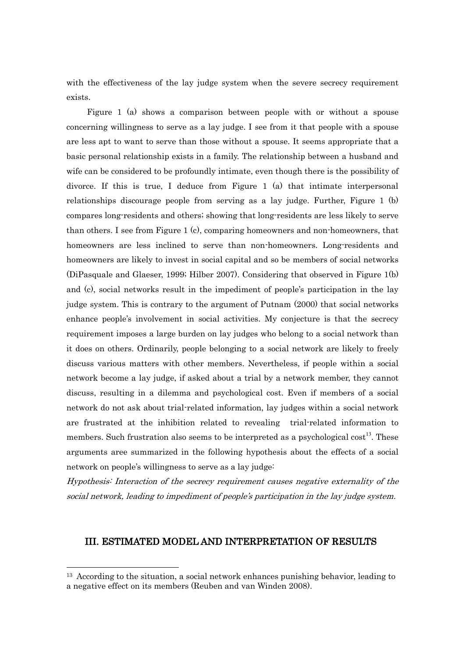with the effectiveness of the lay judge system when the severe secrecy requirement exists.

Figure 1 (a) shows a comparison between people with or without a spouse concerning willingness to serve as a lay judge. I see from it that people with a spouse are less apt to want to serve than those without a spouse. It seems appropriate that a basic personal relationship exists in a family. The relationship between a husband and wife can be considered to be profoundly intimate, even though there is the possibility of divorce. If this is true, I deduce from Figure 1 (a) that intimate interpersonal relationships discourage people from serving as a lay judge. Further, Figure 1 (b) compares long-residents and others; showing that long-residents are less likely to serve than others. I see from Figure 1 (c), comparing homeowners and non-homeowners, that homeowners are less inclined to serve than non-homeowners. Long-residents and homeowners are likely to invest in social capital and so be members of social networks (DiPasquale and Glaeser, 1999; Hilber 2007). Considering that observed in Figure 1(b) and (c), social networks result in the impediment of people's participation in the lay judge system. This is contrary to the argument of Putnam (2000) that social networks enhance people"s involvement in social activities. My conjecture is that the secrecy requirement imposes a large burden on lay judges who belong to a social network than it does on others. Ordinarily, people belonging to a social network are likely to freely discuss various matters with other members. Nevertheless, if people within a social network become a lay judge, if asked about a trial by a network member, they cannot discuss, resulting in a dilemma and psychological cost. Even if members of a social network do not ask about trial-related information, lay judges within a social network are frustrated at the inhibition related to revealing trial-related information to members. Such frustration also seems to be interpreted as a psychological cost<sup>13</sup>. These arguments aree summarized in the following hypothesis about the effects of a social network on people's willingness to serve as a lay judge:

Hypothesis: Interaction of the secrecy requirement causes negative externality of the social network, leading to impediment of people"s participation in the lay judge system.

# III. ESTIMATED MODEL AND INTERPRETATION OF RESULTS

<sup>&</sup>lt;sup>13</sup> According to the situation, a social network enhances punishing behavior, leading to a negative effect on its members (Reuben and van Winden 2008).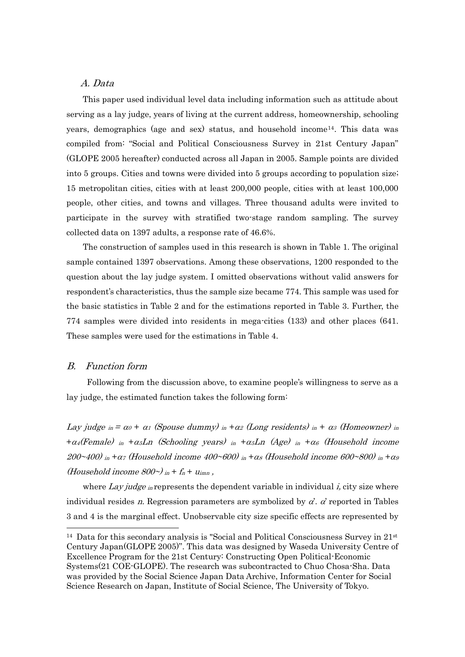#### A. Data

 This paper used individual level data including information such as attitude about serving as a lay judge, years of living at the current address, homeownership, schooling years, demographics (age and sex) status, and household income<sup>14</sup>. This data was compiled from: "Social and Political Consciousness Survey in 21st Century Japan" (GLOPE 2005 hereafter) conducted across all Japan in 2005. Sample points are divided into 5 groups. Cities and towns were divided into 5 groups according to population size; 15 metropolitan cities, cities with at least 200,000 people, cities with at least 100,000 people, other cities, and towns and villages. Three thousand adults were invited to participate in the survey with stratified two-stage random sampling. The survey collected data on 1397 adults, a response rate of 46.6%.

The construction of samples used in this research is shown in Table 1. The original sample contained 1397 observations. Among these observations, 1200 responded to the question about the lay judge system. I omitted observations without valid answers for respondent's characteristics, thus the sample size became 774. This sample was used for the basic statistics in Table 2 and for the estimations reported in Table 3. Further, the 774 samples were divided into residents in mega-cities (133) and other places (641. These samples were used for the estimations in Table 4.

#### B. Function form

1

Following from the discussion above, to examine people's willingness to serve as a lay judge, the estimated function takes the following form:

Lay judge  $\sin = \alpha_0 + \alpha_1$  (Spouse dummy)  $\sin + \alpha_2$  (Long residents)  $\sin + \alpha_3$  (Homeowner)  $\sin$  $+\alpha_4$ (Female) in  $+\alpha_5$ Ln (Schooling years) in  $+\alpha_5$ Ln (Age) in  $+\alpha_6$  (Household income 200~400) in  $+\alpha$  (Household income 400~600) in  $+\alpha$  (Household income 600~800) in  $+\alpha$ (Household income  $800\gamma$  in +  $f_n$  +  $u_{imn}$ ,

where Lay judge in represents the dependent variable in individual i, city size where individual resides n. Regression parameters are symbolized by  $\alpha'$ .  $\alpha'$  reported in Tables 3 and 4 is the marginal effect. Unobservable city size specific effects are represented by

<sup>&</sup>lt;sup>14</sup> Data for this secondary analysis is "Social and Political Consciousness Survey in  $21<sup>st</sup>$ Century Japan(GLOPE 2005)". This data was designed by Waseda University Centre of Excellence Program for the 21st Century: Constructing Open Political-Economic Systems(21 COE-GLOPE). The research was subcontracted to Chuo Chosa-Sha. Data was provided by the Social Science Japan Data Archive, Information Center for Social Science Research on Japan, Institute of Social Science, The University of Tokyo.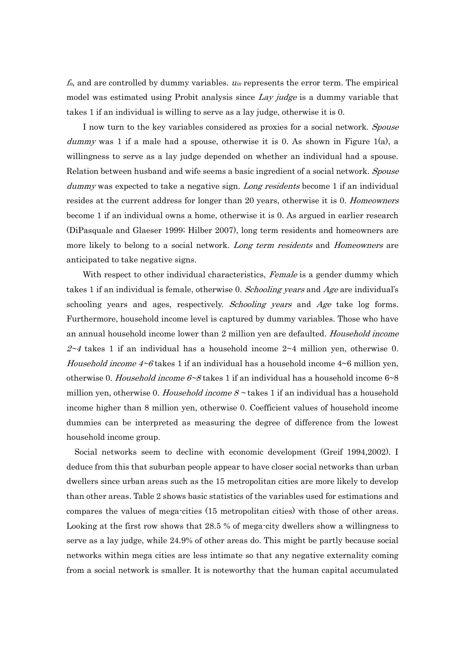$f_n$ , and are controlled by dummy variables.  $u_{in}$  represents the error term. The empirical model was estimated using Probit analysis since Lay judge is a dummy variable that takes 1 if an individual is willing to serve as a lay judge, otherwise it is 0.

I now turn to the key variables considered as proxies for a social network. Spouse dummy was 1 if a male had a spouse, otherwise it is 0. As shown in Figure 1(a), a willingness to serve as a lay judge depended on whether an individual had a spouse. Relation between husband and wife seems a basic ingredient of a social network. Spouse dummy was expected to take a negative sign. Long residents become 1 if an individual resides at the current address for longer than 20 years, otherwise it is 0. *Homeowners* become 1 if an individual owns a home, otherwise it is 0. As argued in earlier research (DiPasquale and Glaeser 1999; Hilber 2007), long term residents and homeowners are more likely to belong to a social network. Long term residents and Homeowners are anticipated to take negative signs.

With respect to other individual characteristics, Female is a gender dummy which takes 1 if an individual is female, otherwise 0. Schooling years and Age are individual's schooling years and ages, respectively. Schooling years and Age take log forms. Furthermore, household income level is captured by dummy variables. Those who have an annual household income lower than 2 million yen are defaulted. Household income  $2~4$  takes 1 if an individual has a household income  $2~4$  million yen, otherwise 0. *Household income 4~6* takes 1 if an individual has a household income  $4~6$  million yen, otherwise 0. Household income  $6\neg 8$  takes 1 if an individual has a household income  $6\neg 8$ million yen, otherwise 0. Household income  $8 \sim$  takes 1 if an individual has a household income higher than 8 million yen, otherwise 0. Coefficient values of household income dummies can be interpreted as measuring the degree of difference from the lowest household income group.

 Social networks seem to decline with economic development (Greif 1994,2002). I deduce from this that suburban people appear to have closer social networks than urban dwellers since urban areas such as the 15 metropolitan cities are more likely to develop than other areas. Table 2 shows basic statistics of the variables used for estimations and compares the values of mega-cities (15 metropolitan cities) with those of other areas. Looking at the first row shows that 28.5 % of mega-city dwellers show a willingness to serve as a lay judge, while 24.9% of other areas do. This might be partly because social networks within mega cities are less intimate so that any negative externality coming from a social network is smaller. It is noteworthy that the human capital accumulated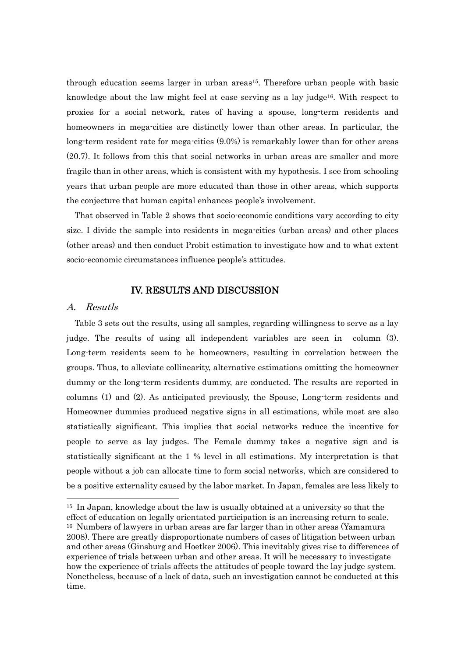through education seems larger in urban areas15. Therefore urban people with basic knowledge about the law might feel at ease serving as a lay judge16. With respect to proxies for a social network, rates of having a spouse, long-term residents and homeowners in mega-cities are distinctly lower than other areas. In particular, the long-term resident rate for mega-cities (9.0%) is remarkably lower than for other areas (20.7). It follows from this that social networks in urban areas are smaller and more fragile than in other areas, which is consistent with my hypothesis. I see from schooling years that urban people are more educated than those in other areas, which supports the conjecture that human capital enhances people's involvement.

That observed in Table 2 shows that socio-economic conditions vary according to city size. I divide the sample into residents in mega-cities (urban areas) and other places (other areas) and then conduct Probit estimation to investigate how and to what extent socio-economic circumstances influence people's attitudes.

### IV. RESULTS AND DISCUSSION

#### A. Resutls

1

Table 3 sets out the results, using all samples, regarding willingness to serve as a lay judge. The results of using all independent variables are seen in column (3). Long-term residents seem to be homeowners, resulting in correlation between the groups. Thus, to alleviate collinearity, alternative estimations omitting the homeowner dummy or the long-term residents dummy, are conducted. The results are reported in columns (1) and (2). As anticipated previously, the Spouse, Long-term residents and Homeowner dummies produced negative signs in all estimations, while most are also statistically significant. This implies that social networks reduce the incentive for people to serve as lay judges. The Female dummy takes a negative sign and is statistically significant at the 1 % level in all estimations. My interpretation is that people without a job can allocate time to form social networks, which are considered to be a positive externality caused by the labor market. In Japan, females are less likely to

<sup>15</sup> In Japan, knowledge about the law is usually obtained at a university so that the effect of education on legally orientated participation is an increasing return to scale. <sup>16</sup> Numbers of lawyers in urban areas are far larger than in other areas (Yamamura 2008). There are greatly disproportionate numbers of cases of litigation between urban and other areas (Ginsburg and Hoetker 2006). This inevitably gives rise to differences of experience of trials between urban and other areas. It will be necessary to investigate how the experience of trials affects the attitudes of people toward the lay judge system. Nonetheless, because of a lack of data, such an investigation cannot be conducted at this time.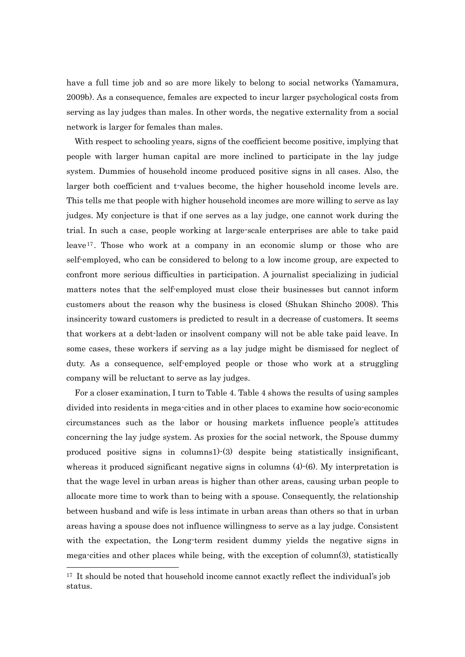have a full time job and so are more likely to belong to social networks (Yamamura, 2009b). As a consequence, females are expected to incur larger psychological costs from serving as lay judges than males. In other words, the negative externality from a social network is larger for females than males.

With respect to schooling years, signs of the coefficient become positive, implying that people with larger human capital are more inclined to participate in the lay judge system. Dummies of household income produced positive signs in all cases. Also, the larger both coefficient and t-values become, the higher household income levels are. This tells me that people with higher household incomes are more willing to serve as lay judges. My conjecture is that if one serves as a lay judge, one cannot work during the trial. In such a case, people working at large-scale enterprises are able to take paid leave<sup>17</sup> . Those who work at a company in an economic slump or those who are self-employed, who can be considered to belong to a low income group, are expected to confront more serious difficulties in participation. A journalist specializing in judicial matters notes that the self-employed must close their businesses but cannot inform customers about the reason why the business is closed (Shukan Shincho 2008). This insincerity toward customers is predicted to result in a decrease of customers. It seems that workers at a debt-laden or insolvent company will not be able take paid leave. In some cases, these workers if serving as a lay judge might be dismissed for neglect of duty. As a consequence, self-employed people or those who work at a struggling company will be reluctant to serve as lay judges.

For a closer examination, I turn to Table 4. Table 4 shows the results of using samples divided into residents in mega-cities and in other places to examine how socio-economic circumstances such as the labor or housing markets influence people"s attitudes concerning the lay judge system. As proxies for the social network, the Spouse dummy produced positive signs in columns1)-(3) despite being statistically insignificant, whereas it produced significant negative signs in columns  $(4)-(6)$ . My interpretation is that the wage level in urban areas is higher than other areas, causing urban people to allocate more time to work than to being with a spouse. Consequently, the relationship between husband and wife is less intimate in urban areas than others so that in urban areas having a spouse does not influence willingness to serve as a lay judge. Consistent with the expectation, the Long-term resident dummy yields the negative signs in mega-cities and other places while being, with the exception of column(3), statistically

 $17$  It should be noted that household income cannot exactly reflect the individual's job status.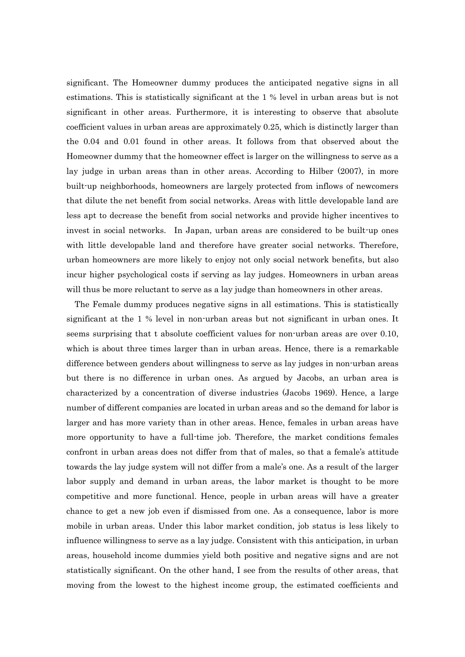significant. The Homeowner dummy produces the anticipated negative signs in all estimations. This is statistically significant at the 1 % level in urban areas but is not significant in other areas. Furthermore, it is interesting to observe that absolute coefficient values in urban areas are approximately 0.25, which is distinctly larger than the 0.04 and 0.01 found in other areas. It follows from that observed about the Homeowner dummy that the homeowner effect is larger on the willingness to serve as a lay judge in urban areas than in other areas. According to Hilber (2007), in more built-up neighborhoods, homeowners are largely protected from inflows of newcomers that dilute the net benefit from social networks. Areas with little developable land are less apt to decrease the benefit from social networks and provide higher incentives to invest in social networks. In Japan, urban areas are considered to be built-up ones with little developable land and therefore have greater social networks. Therefore, urban homeowners are more likely to enjoy not only social network benefits, but also incur higher psychological costs if serving as lay judges. Homeowners in urban areas will thus be more reluctant to serve as a lay judge than homeowners in other areas.

The Female dummy produces negative signs in all estimations. This is statistically significant at the 1 % level in non-urban areas but not significant in urban ones. It seems surprising that t absolute coefficient values for non-urban areas are over 0.10, which is about three times larger than in urban areas. Hence, there is a remarkable difference between genders about willingness to serve as lay judges in non-urban areas but there is no difference in urban ones. As argued by Jacobs, an urban area is characterized by a concentration of diverse industries (Jacobs 1969). Hence, a large number of different companies are located in urban areas and so the demand for labor is larger and has more variety than in other areas. Hence, females in urban areas have more opportunity to have a full-time job. Therefore, the market conditions females confront in urban areas does not differ from that of males, so that a female's attitude towards the lay judge system will not differ from a male"s one. As a result of the larger labor supply and demand in urban areas, the labor market is thought to be more competitive and more functional. Hence, people in urban areas will have a greater chance to get a new job even if dismissed from one. As a consequence, labor is more mobile in urban areas. Under this labor market condition, job status is less likely to influence willingness to serve as a lay judge. Consistent with this anticipation, in urban areas, household income dummies yield both positive and negative signs and are not statistically significant. On the other hand, I see from the results of other areas, that moving from the lowest to the highest income group, the estimated coefficients and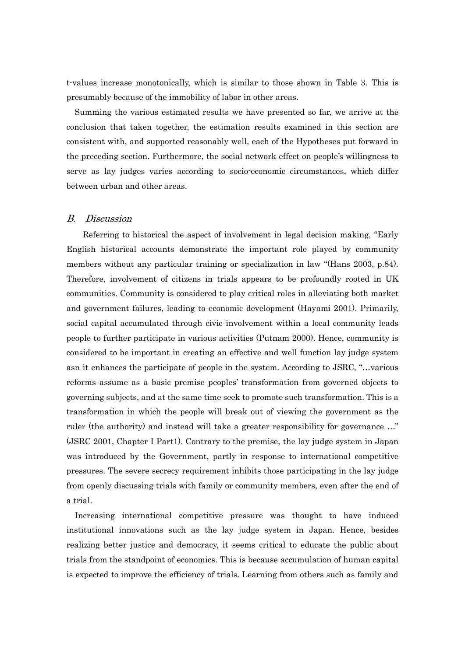t-values increase monotonically, which is similar to those shown in Table 3. This is presumably because of the immobility of labor in other areas.

Summing the various estimated results we have presented so far, we arrive at the conclusion that taken together, the estimation results examined in this section are consistent with, and supported reasonably well, each of the Hypotheses put forward in the preceding section. Furthermore, the social network effect on people"s willingness to serve as lay judges varies according to socio-economic circumstances, which differ between urban and other areas.

#### B. Discussion

Referring to historical the aspect of involvement in legal decision making, "Early English historical accounts demonstrate the important role played by community members without any particular training or specialization in law "(Hans 2003, p.84). Therefore, involvement of citizens in trials appears to be profoundly rooted in UK communities. Community is considered to play critical roles in alleviating both market and government failures, leading to economic development (Hayami 2001). Primarily, social capital accumulated through civic involvement within a local community leads people to further participate in various activities (Putnam 2000). Hence, community is considered to be important in creating an effective and well function lay judge system asn it enhances the participate of people in the system. According to JSRC, "…various reforms assume as a basic premise peoples" transformation from governed objects to governing subjects, and at the same time seek to promote such transformation. This is a transformation in which the people will break out of viewing the government as the ruler (the authority) and instead will take a greater responsibility for governance …" (JSRC 2001, Chapter I Part1). Contrary to the premise, the lay judge system in Japan was introduced by the Government, partly in response to international competitive pressures. The severe secrecy requirement inhibits those participating in the lay judge from openly discussing trials with family or community members, even after the end of a trial.

Increasing international competitive pressure was thought to have induced institutional innovations such as the lay judge system in Japan. Hence, besides realizing better justice and democracy, it seems critical to educate the public about trials from the standpoint of economics. This is because accumulation of human capital is expected to improve the efficiency of trials. Learning from others such as family and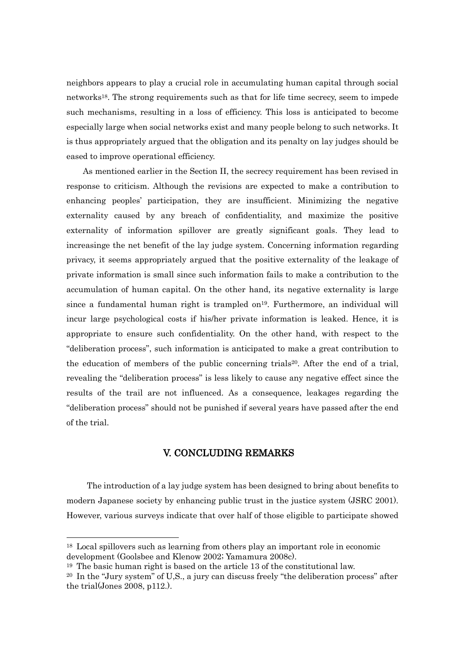neighbors appears to play a crucial role in accumulating human capital through social networks18. The strong requirements such as that for life time secrecy, seem to impede such mechanisms, resulting in a loss of efficiency. This loss is anticipated to become especially large when social networks exist and many people belong to such networks. It is thus appropriately argued that the obligation and its penalty on lay judges should be eased to improve operational efficiency.

As mentioned earlier in the Section II, the secrecy requirement has been revised in response to criticism. Although the revisions are expected to make a contribution to enhancing peoples" participation, they are insufficient. Minimizing the negative externality caused by any breach of confidentiality, and maximize the positive externality of information spillover are greatly significant goals. They lead to increasinge the net benefit of the lay judge system. Concerning information regarding privacy, it seems appropriately argued that the positive externality of the leakage of private information is small since such information fails to make a contribution to the accumulation of human capital. On the other hand, its negative externality is large since a fundamental human right is trampled on<sup>19</sup>. Furthermore, an individual will incur large psychological costs if his/her private information is leaked. Hence, it is appropriate to ensure such confidentiality. On the other hand, with respect to the "deliberation process", such information is anticipated to make a great contribution to the education of members of the public concerning trials<sup>20</sup>. After the end of a trial, revealing the "deliberation process" is less likely to cause any negative effect since the results of the trail are not influenced. As a consequence, leakages regarding the "deliberation process" should not be punished if several years have passed after the end of the trial.

# V. CONCLUDING REMARKS

The introduction of a lay judge system has been designed to bring about benefits to modern Japanese society by enhancing public trust in the justice system (JSRC 2001). However, various surveys indicate that over half of those eligible to participate showed

<sup>18</sup> Local spillovers such as learning from others play an important role in economic development (Goolsbee and Klenow 2002; Yamamura 2008c).

<sup>19</sup> The basic human right is based on the article 13 of the constitutional law.

 $20$  In the "Jury system" of U,S., a jury can discuss freely "the deliberation process" after the trial(Jones 2008, p112.).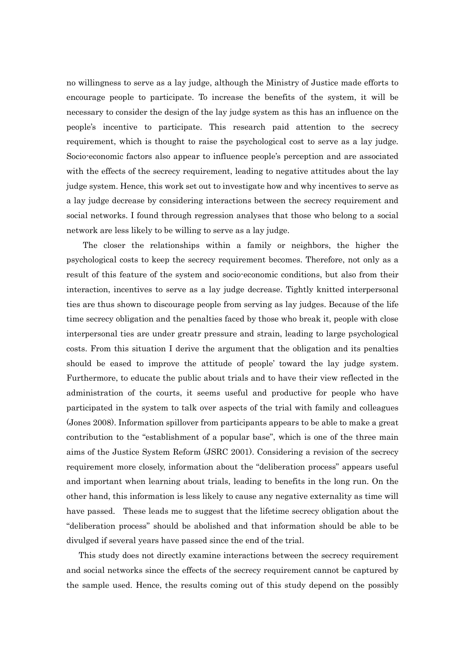no willingness to serve as a lay judge, although the Ministry of Justice made efforts to encourage people to participate. To increase the benefits of the system, it will be necessary to consider the design of the lay judge system as this has an influence on the people"s incentive to participate. This research paid attention to the secrecy requirement, which is thought to raise the psychological cost to serve as a lay judge. Socio-economic factors also appear to influence people"s perception and are associated with the effects of the secrecy requirement, leading to negative attitudes about the lay judge system. Hence, this work set out to investigate how and why incentives to serve as a lay judge decrease by considering interactions between the secrecy requirement and social networks. I found through regression analyses that those who belong to a social network are less likely to be willing to serve as a lay judge.

The closer the relationships within a family or neighbors, the higher the psychological costs to keep the secrecy requirement becomes. Therefore, not only as a result of this feature of the system and socio-economic conditions, but also from their interaction, incentives to serve as a lay judge decrease. Tightly knitted interpersonal ties are thus shown to discourage people from serving as lay judges. Because of the life time secrecy obligation and the penalties faced by those who break it, people with close interpersonal ties are under greatr pressure and strain, leading to large psychological costs. From this situation I derive the argument that the obligation and its penalties should be eased to improve the attitude of people" toward the lay judge system. Furthermore, to educate the public about trials and to have their view reflected in the administration of the courts, it seems useful and productive for people who have participated in the system to talk over aspects of the trial with family and colleagues (Jones 2008). Information spillover from participants appears to be able to make a great contribution to the "establishment of a popular base", which is one of the three main aims of the Justice System Reform (JSRC 2001). Considering a revision of the secrecy requirement more closely, information about the "deliberation process" appears useful and important when learning about trials, leading to benefits in the long run. On the other hand, this information is less likely to cause any negative externality as time will have passed. These leads me to suggest that the lifetime secrecy obligation about the "deliberation process" should be abolished and that information should be able to be divulged if several years have passed since the end of the trial.

This study does not directly examine interactions between the secrecy requirement and social networks since the effects of the secrecy requirement cannot be captured by the sample used. Hence, the results coming out of this study depend on the possibly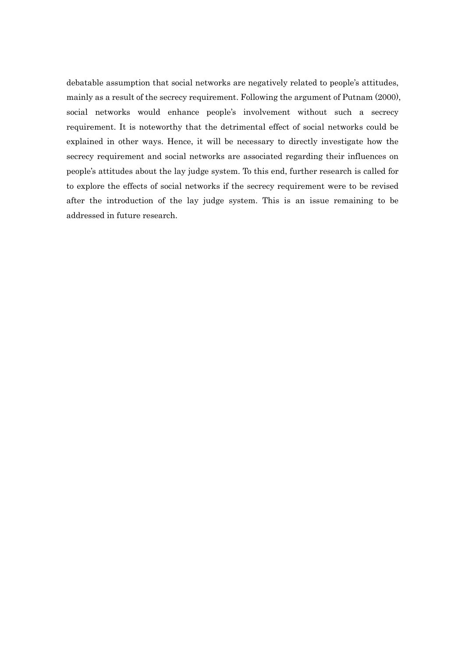debatable assumption that social networks are negatively related to people's attitudes, mainly as a result of the secrecy requirement. Following the argument of Putnam (2000), social networks would enhance people's involvement without such a secrecy requirement. It is noteworthy that the detrimental effect of social networks could be explained in other ways. Hence, it will be necessary to directly investigate how the secrecy requirement and social networks are associated regarding their influences on people"s attitudes about the lay judge system. To this end, further research is called for to explore the effects of social networks if the secrecy requirement were to be revised after the introduction of the lay judge system. This is an issue remaining to be addressed in future research.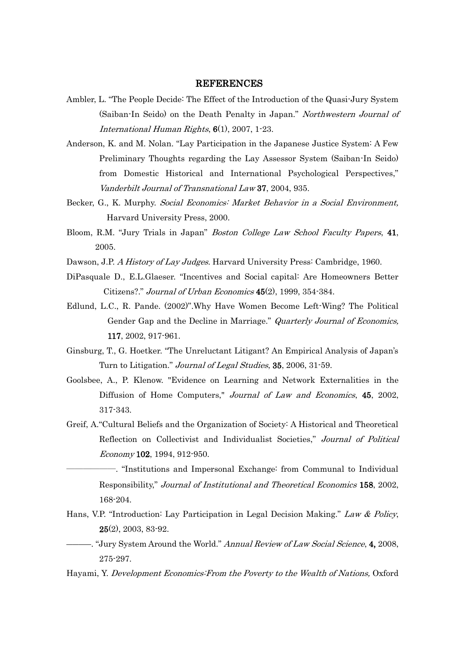#### REFERENCES

- Ambler, L. "The People Decide: The Effect of the Introduction of the Quasi-Jury System (Saiban-In Seido) on the Death Penalty in Japan." Northwestern Journal of International Human Rights, 6(1), 2007, 1-23.
- Anderson, K. and M. Nolan. "Lay Participation in the Japanese Justice System: A Few Preliminary Thoughts regarding the Lay Assessor System (Saiban-In Seido) from Domestic Historical and International Psychological Perspectives," Vanderbilt Journal of Transnational Law 37, 2004, 935.
- Becker, G., K. Murphy. Social Economics: Market Behavior in a Social Environment, Harvard University Press, 2000.
- Bloom, R.M. "Jury Trials in Japan" Boston College Law School Faculty Papers, 41, 2005.
- Dawson, J.P. A History of Lay Judges. Harvard University Press: Cambridge, 1960.
- DiPasquale D., E.L.Glaeser. "Incentives and Social capital: Are Homeowners Better Citizens?." Journal of Urban Economics 45(2), 1999, 354-384.
- Edlund, L.C., R. Pande. (2002)".Why Have Women Become Left-Wing? The Political Gender Gap and the Decline in Marriage." *Quarterly Journal of Economics*, 117, 2002, 917-961.
- Ginsburg, T., G. Hoetker. "The Unreluctant Litigant? An Empirical Analysis of Japan"s Turn to Litigation." Journal of Legal Studies, 35, 2006, 31-59.
- Goolsbee, A., P. Klenow. "Evidence on Learning and Network Externalities in the Diffusion of Home Computers," Journal of Law and Economics, 45, 2002, 317-343.
- Greif, A."Cultural Beliefs and the Organization of Society: A Historical and Theoretical Reflection on Collectivist and Individualist Societies," Journal of Political Economy 102, 1994, 912-950.
	- ――――――. "Institutions and Impersonal Exchange: from Communal to Individual Responsibility," Journal of Institutional and Theoretical Economics 158, 2002, 168-204.
- Hans, V.P. "Introduction: Lay Participation in Legal Decision Making." Law & Policy, 25(2), 2003, 83-92.
- -. "Jury System Around the World." Annual Review of Law Social Science, 4, 2008, 275-297.
- Hayami, Y. Development Economics:From the Poverty to the Wealth of Nations, Oxford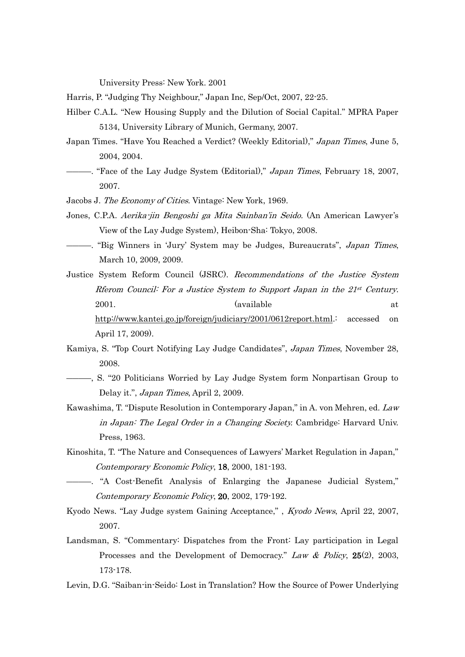University Press: New York. 2001

Harris, P. "Judging Thy Neighbour," Japan Inc, Sep/Oct, 2007, 22-25.

- Hilber C.A.L. "New Housing Supply and the Dilution of Social Capital." MPRA Paper 5134, University Library of Munich, Germany, 2007.
- Japan Times. "Have You Reached a Verdict? (Weekly Editorial)," *Japan Times*, June 5, 2004, 2004.
- –. "Face of the Lay Judge System (Editorial)," *Japan Times*, February 18, 2007, 2007.

Jacobs J. The Economy of Cities. Vintage: New York, 1969.

- Jones, C.P.A. Aerika-jin Bengoshi ga Mita Sainban"in Seido. (An American Lawyer"s View of the Lay Judge System), Heibon-Sha: Tokyo, 2008.
- ――――. "Big Winners in "Jury" System may be Judges, Bureaucrats", Japan Times, March 10, 2009, 2009.

Justice System Reform Council (JSRC). Recommendations of the Justice System Rierom Council: For a Justice System to Support Japan in the 21st Century. 2001. **Contract and Contract Available** at the set of a set of a set of a set of a set of a set of a set of a set of a set of a set of a set of a set of a set of a set of a set of a set of a set of a set of a set of a set [http://www.kantei.go.jp/foreign/judiciary/2001/0612report.html.](http://www.kantei.go.jp/foreign/judiciary/2001/0612report.html): accessed on April 17, 2009).

- Kamiya, S. "Top Court Notifying Lay Judge Candidates", Japan Times, November 28, 2008.
- ――――, S. "20 Politicians Worried by Lay Judge System form Nonpartisan Group to Delay it.", Japan Times, April 2, 2009.
- Kawashima, T. "Dispute Resolution in Contemporary Japan," in A. von Mehren, ed. Law in Japan: The Legal Order in a Changing Society. Cambridge: Harvard Univ. Press, 1963.
- Kinoshita, T. "The Nature and Consequences of Lawyers" Market Regulation in Japan," Contemporary Economic Policy, 18, 2000, 181-193.
- ――――. "A Cost-Benefit Analysis of Enlarging the Japanese Judicial System," Contemporary Economic Policy, 20, 2002, 179-192.
- Kyodo News. "Lay Judge system Gaining Acceptance," , Kyodo News, April 22, 2007, 2007.
- Landsman, S. "Commentary: Dispatches from the Front: Lay participation in Legal Processes and the Development of Democracy." Law & Policy, 25(2), 2003, 173-178.
- Levin, D.G. "Saiban-in-Seido: Lost in Translation? How the Source of Power Underlying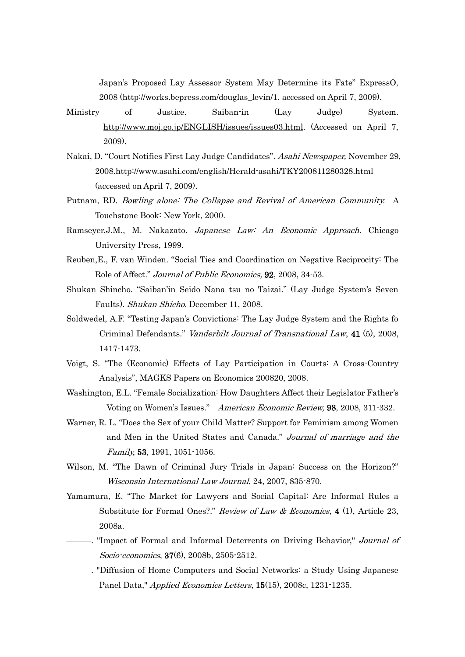Japan"s Proposed Lay Assessor System May Determine its Fate" ExpressO, 2008 (http://works.bepress.com/douglas\_levin/1. accessed on April 7, 2009).

- Ministry of Justice. Saiban-in (Lay Judge) System. [http://www.moj.go.jp/ENGLISH/issues/issues03.html.](http://www.moj.go.jp/ENGLISH/issues/issues03.html) (Accessed on April 7, 2009).
- Nakai, D. "Court Notifies First Lay Judge Candidates". Asahi Newspaper, November 29, 2008[.http://www.asahi.com/english/Herald-asahi/TKY200811280328.html](http://www.asahi.com/english/Herald-asahi/TKY200811280328.html) (accessed on April 7, 2009).
- Putnam, RD. Bowling alone: The Collapse and Revival of American Community. A Touchstone Book: New York, 2000.
- Ramseyer, J.M., M. Nakazato. Japanese Law: An Economic Approach. Chicago University Press, 1999.
- Reuben,E., F. van Winden. "Social Ties and Coordination on Negative Reciprocity: The Role of Affect." Journal of Public Economics, 92, 2008, 34-53.
- Shukan Shincho. "Saiban"in Seido Nana tsu no Taizai." (Lay Judge System"s Seven Faults). Shukan Shicho. December 11, 2008.
- Soldwedel, A.F. "Testing Japan"s Convictions: The Lay Judge System and the Rights fo Criminal Defendants." Vanderbilt Journal of Transnational Law, 41 (5), 2008, 1417-1473.
- Voigt, S. "The (Economic) Effects of Lay Participation in Courts: A Cross-Country Analysis", MAGKS Papers on Economics 200820, 2008.
- Washington, E.L. "Female Socialization: How Daughters Affect their Legislator Father"s Voting on Women's Issues." American Economic Review, 98, 2008, 311-332.
- Warner, R. L. "Does the Sex of your Child Matter? Support for Feminism among Women and Men in the United States and Canada." Journal of marriage and the Family, 53, 1991, 1051-1056.
- Wilson, M. "The Dawn of Criminal Jury Trials in Japan: Success on the Horizon?" Wisconsin International Law Journal, 24, 2007, 835-870.
- Yamamura, E. "The Market for Lawyers and Social Capital: Are Informal Rules a Substitute for Formal Ones?." Review of Law & Economics, 4 (1), Article 23, 2008a.
- ――――. "Impact of Formal and Informal Deterrents on Driving Behavior," Journal of Socio-economics, 37(6), 2008b, 2505-2512.
- ――――. "Diffusion of Home Computers and Social Networks: a Study Using Japanese Panel Data," Applied Economics Letters, 15(15), 2008c, 1231-1235.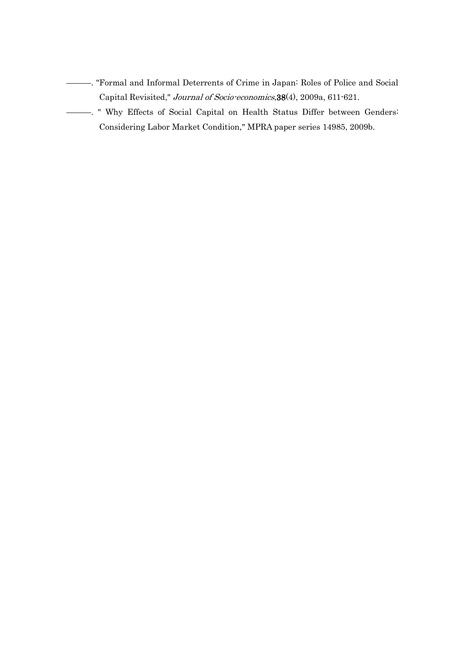- ――――. "Formal and Informal Deterrents of Crime in Japan: Roles of Police and Social Capital Revisited," Journal of Socio-economics,38(4), 2009a, 611-621.
- ――――. " Why Effects of Social Capital on Health Status Differ between Genders: Considering Labor Market Condition," MPRA paper series 14985, 2009b.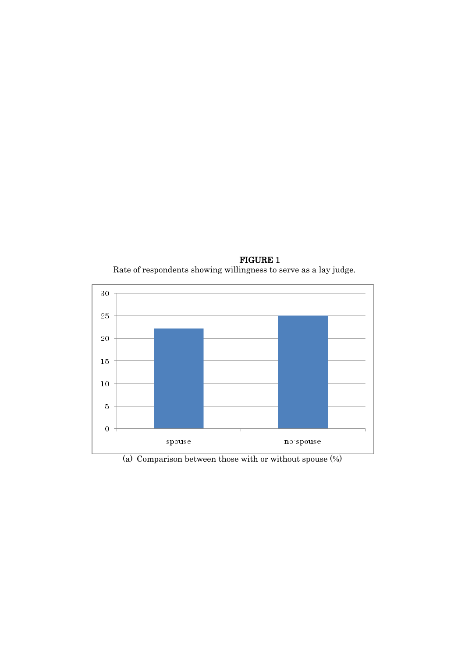





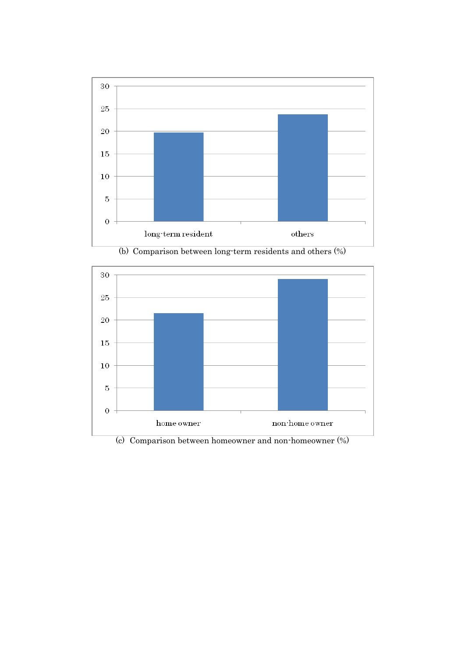



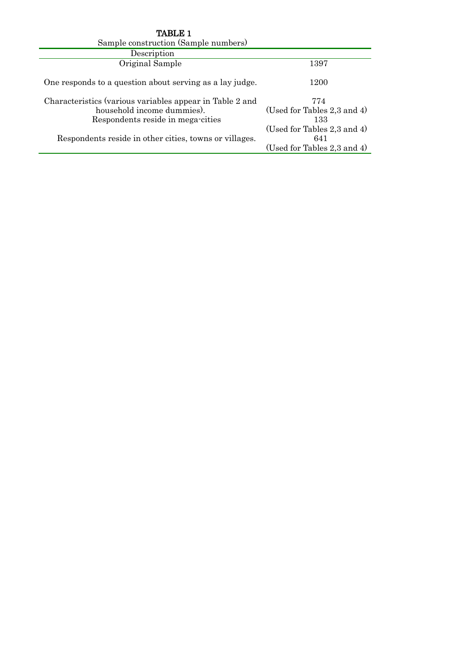| TABLE 1                                                                                                                     |                                                                   |
|-----------------------------------------------------------------------------------------------------------------------------|-------------------------------------------------------------------|
| Sample construction (Sample numbers)                                                                                        |                                                                   |
| Description                                                                                                                 |                                                                   |
| Original Sample                                                                                                             | 1397                                                              |
| One responds to a question about serving as a lay judge.                                                                    | 1200                                                              |
| Characteristics (various variables appear in Table 2 and<br>household income dummies).<br>Respondents reside in mega-cities | 774<br>(Used for Tables 2,3 and 4)<br>133                         |
| Respondents reside in other cities, towns or villages.                                                                      | (Used for Tables 2,3 and 4)<br>641<br>(Used for Tables 2,3 and 4) |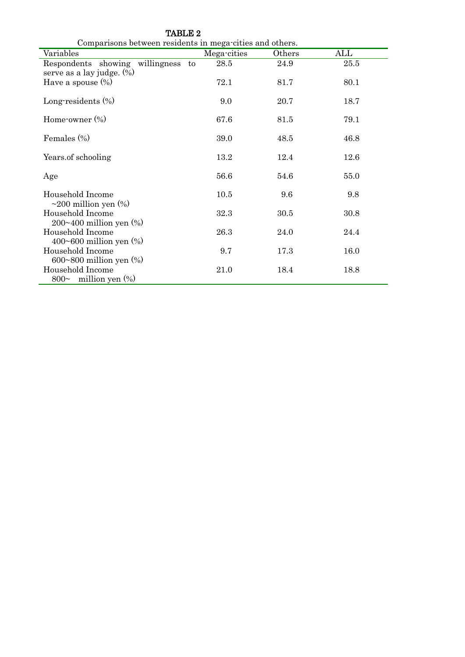| Comparisons between residents in mega cities and others.              |             |        |                         |  |  |  |
|-----------------------------------------------------------------------|-------------|--------|-------------------------|--|--|--|
| Variables                                                             | Mega-cities | Others | $\mathop{\mathrm{ALL}}$ |  |  |  |
| Respondents showing willingness<br>to<br>serve as a lay judge. $(\%)$ | 28.5        | 24.9   | 25.5                    |  |  |  |
| Have a spouse $(\%)$                                                  | 72.1        | 81.7   | 80.1                    |  |  |  |
| Long-residents $(\%)$                                                 | 9.0         | 20.7   | 18.7                    |  |  |  |
| Home-owner $(\%)$                                                     | 67.6        | 81.5   | 79.1                    |  |  |  |
| Females $(\% )$                                                       | 39.0        | 48.5   | 46.8                    |  |  |  |
| Years of schooling                                                    | 13.2        | 12.4   | 12.6                    |  |  |  |
| Age                                                                   | 56.6        | 54.6   | 55.0                    |  |  |  |
| Household Income<br>$\sim$ 200 million yen $(\%)$                     | 10.5        | 9.6    | 9.8                     |  |  |  |
| Household Income<br>$200~100$ million yen $(\%)$                      | 32.3        | 30.5   | 30.8                    |  |  |  |
| Household Income<br>400 $\sim$ 600 million yen $(\%)$                 | 26.3        | 24.0   | 24.4                    |  |  |  |
| Household Income<br>600~800 million yen $(\%)$                        | 9.7         | 17.3   | 16.0                    |  |  |  |
| Household Income<br>800 $\sim$ million yen $(\% )$                    | 21.0        | 18.4   | 18.8                    |  |  |  |

TABLE 2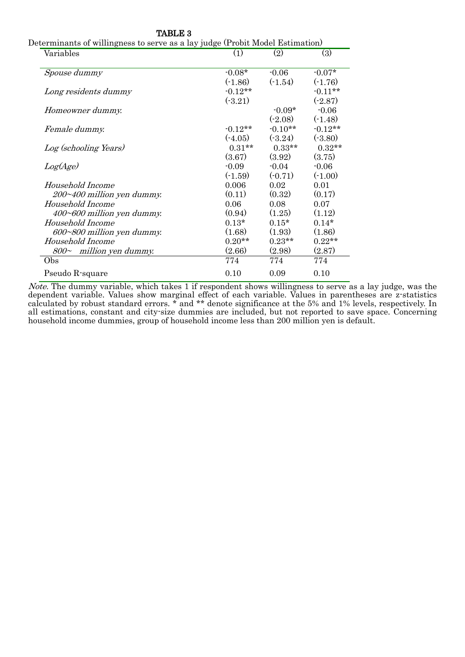| Variables                           | (1)       | (2)       | (3)       |
|-------------------------------------|-----------|-----------|-----------|
| Spouse dummy                        | $-0.08*$  | $-0.06$   | $-0.07*$  |
|                                     | $(-1.86)$ | $(-1.54)$ | $(-1.76)$ |
| Long residents dummy                | $-0.12**$ |           | $-0.11**$ |
|                                     | (.3.21)   |           | $(-2.87)$ |
| Homeowner dummy.                    |           | $-0.09*$  | $-0.06$   |
|                                     |           | $(-2.08)$ | $(-1.48)$ |
| Female dummy.                       | $-0.12**$ | $-0.10**$ | $-0.12**$ |
|                                     | $(-4.05)$ | $(-3.24)$ | $(-3.80)$ |
| Log (schooling Years)               | $0.31***$ | $0.33**$  | $0.32**$  |
|                                     | (3.67)    | (3.92)    | (3.75)    |
| Log(Age)                            | $-0.09$   | $-0.04$   | $-0.06$   |
|                                     | $(-1.59)$ | $(-0.71)$ | $(-1.00)$ |
| Household Income                    | 0.006     | 0.02      | 0.01      |
| 200~400 million yen dummy.          | (0.11)    | (0.32)    | (0.17)    |
| Household Income                    | 0.06      | 0.08      | 0.07      |
| 400~600 million yen dummy.          | (0.94)    | (1.25)    | (1.12)    |
| Household Income                    | $0.13*$   | $0.15*$   | $0.14*$   |
| 600~800 million yen dummy.          | (1.68)    | (1.93)    | (1.86)    |
| Household Income                    | $0.20**$  | $0.23**$  | $0.22**$  |
| $800\textdegree$ million yen dummy. | (2.66)    | (2.98)    | (2.87)    |
| Obs                                 | 774       | 774       | 774       |
| Pseudo R-square                     | 0.10      | 0.09      | 0.10      |
|                                     |           |           |           |

TABLE 3

Note. The dummy variable, which takes 1 if respondent shows willingness to serve as a lay judge, was the dependent variable. Values show marginal effect of each variable. Values in parentheses are z-statistics calculated by robust standard errors. \* and \*\* denote significance at the 5% and 1% levels, respectively. In all estimations, constant and city-size dummies are included, but not reported to save space. Concerning household income dummies, group of household income less than 200 million yen is default.